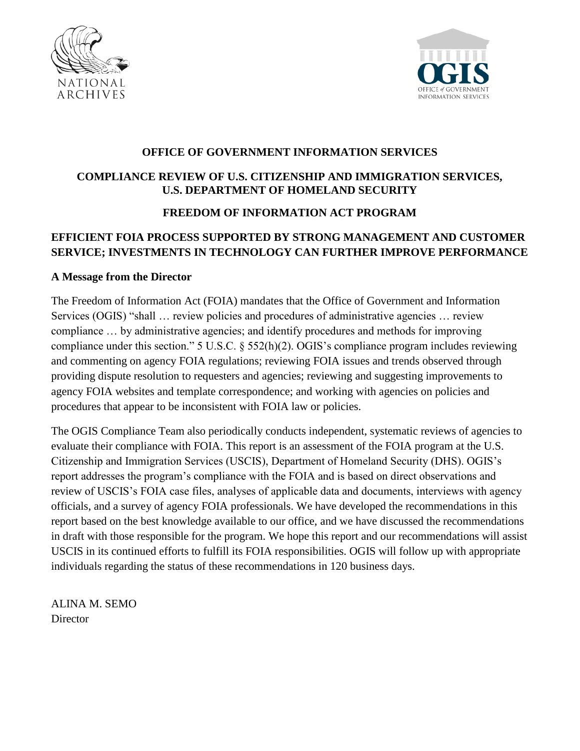



## **OFFICE OF GOVERNMENT INFORMATION SERVICES**

# **COMPLIANCE REVIEW OF U.S. CITIZENSHIP AND IMMIGRATION SERVICES, U.S. DEPARTMENT OF HOMELAND SECURITY**

## **FREEDOM OF INFORMATION ACT PROGRAM**

## **EFFICIENT FOIA PROCESS SUPPORTED BY STRONG MANAGEMENT AND CUSTOMER SERVICE; INVESTMENTS IN TECHNOLOGY CAN FURTHER IMPROVE PERFORMANCE**

## **A Message from the Director**

The Freedom of Information Act (FOIA) mandates that the Office of Government and Information Services (OGIS) "shall … review policies and procedures of administrative agencies … review compliance … by administrative agencies; and identify procedures and methods for improving compliance under this section." 5 U.S.C. § 552(h)(2). OGIS's compliance program includes reviewing and commenting on agency FOIA regulations; reviewing FOIA issues and trends observed through providing dispute resolution to requesters and agencies; reviewing and suggesting improvements to agency FOIA websites and template correspondence; and working with agencies on policies and procedures that appear to be inconsistent with FOIA law or policies.

The OGIS Compliance Team also periodically conducts independent, systematic reviews of agencies to evaluate their compliance with FOIA. This report is an assessment of the FOIA program at the U.S. Citizenship and Immigration Services (USCIS), Department of Homeland Security (DHS). OGIS's report addresses the program's compliance with the FOIA and is based on direct observations and review of USCIS's FOIA case files, analyses of applicable data and documents, interviews with agency officials, and a survey of agency FOIA professionals. We have developed the recommendations in this report based on the best knowledge available to our office, and we have discussed the recommendations in draft with those responsible for the program. We hope this report and our recommendations will assist USCIS in its continued efforts to fulfill its FOIA responsibilities. OGIS will follow up with appropriate individuals regarding the status of these recommendations in 120 business days.

ALINA M. SEMO **Director**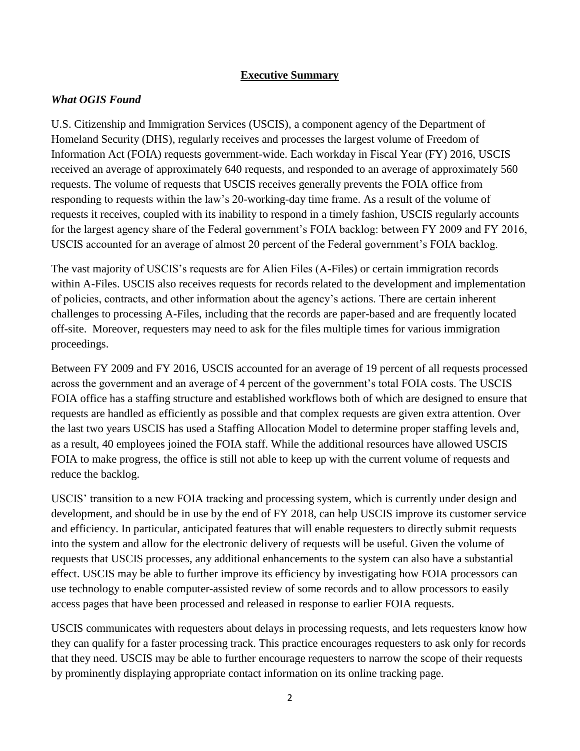## **Executive Summary**

## *What OGIS Found*

U.S. Citizenship and Immigration Services (USCIS), a component agency of the Department of Homeland Security (DHS), regularly receives and processes the largest volume of Freedom of Information Act (FOIA) requests government-wide. Each workday in Fiscal Year (FY) 2016, USCIS received an average of approximately 640 requests, and responded to an average of approximately 560 requests. The volume of requests that USCIS receives generally prevents the FOIA office from responding to requests within the law's 20-working-day time frame. As a result of the volume of requests it receives, coupled with its inability to respond in a timely fashion, USCIS regularly accounts for the largest agency share of the Federal government's FOIA backlog: between FY 2009 and FY 2016, USCIS accounted for an average of almost 20 percent of the Federal government's FOIA backlog.

The vast majority of USCIS's requests are for Alien Files (A-Files) or certain immigration records within A-Files. USCIS also receives requests for records related to the development and implementation of policies, contracts, and other information about the agency's actions. There are certain inherent challenges to processing A-Files, including that the records are paper-based and are frequently located off-site. Moreover, requesters may need to ask for the files multiple times for various immigration proceedings.

Between FY 2009 and FY 2016, USCIS accounted for an average of 19 percent of all requests processed across the government and an average of 4 percent of the government's total FOIA costs. The USCIS FOIA office has a staffing structure and established workflows both of which are designed to ensure that requests are handled as efficiently as possible and that complex requests are given extra attention. Over the last two years USCIS has used a Staffing Allocation Model to determine proper staffing levels and, as a result, 40 employees joined the FOIA staff. While the additional resources have allowed USCIS FOIA to make progress, the office is still not able to keep up with the current volume of requests and reduce the backlog.

USCIS' transition to a new FOIA tracking and processing system, which is currently under design and development, and should be in use by the end of FY 2018, can help USCIS improve its customer service and efficiency. In particular, anticipated features that will enable requesters to directly submit requests into the system and allow for the electronic delivery of requests will be useful. Given the volume of requests that USCIS processes, any additional enhancements to the system can also have a substantial effect. USCIS may be able to further improve its efficiency by investigating how FOIA processors can use technology to enable computer-assisted review of some records and to allow processors to easily access pages that have been processed and released in response to earlier FOIA requests.

USCIS communicates with requesters about delays in processing requests, and lets requesters know how they can qualify for a faster processing track. This practice encourages requesters to ask only for records that they need. USCIS may be able to further encourage requesters to narrow the scope of their requests by prominently displaying appropriate contact information on its online tracking page.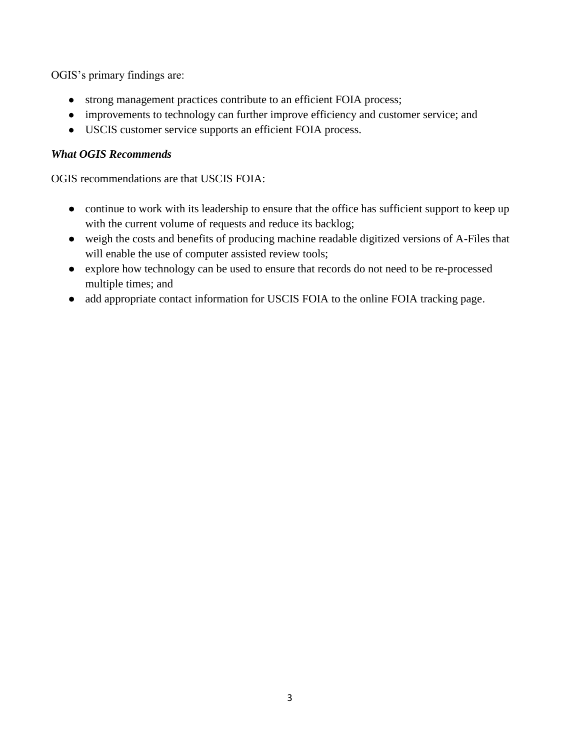OGIS's primary findings are:

- strong management practices contribute to an efficient FOIA process;
- improvements to technology can further improve efficiency and customer service; and
- USCIS customer service supports an efficient FOIA process.

## *What OGIS Recommends*

OGIS recommendations are that USCIS FOIA:

- continue to work with its leadership to ensure that the office has sufficient support to keep up with the current volume of requests and reduce its backlog;
- weigh the costs and benefits of producing machine readable digitized versions of A-Files that will enable the use of computer assisted review tools;
- explore how technology can be used to ensure that records do not need to be re-processed multiple times; and
- add appropriate contact information for USCIS FOIA to the online FOIA tracking page.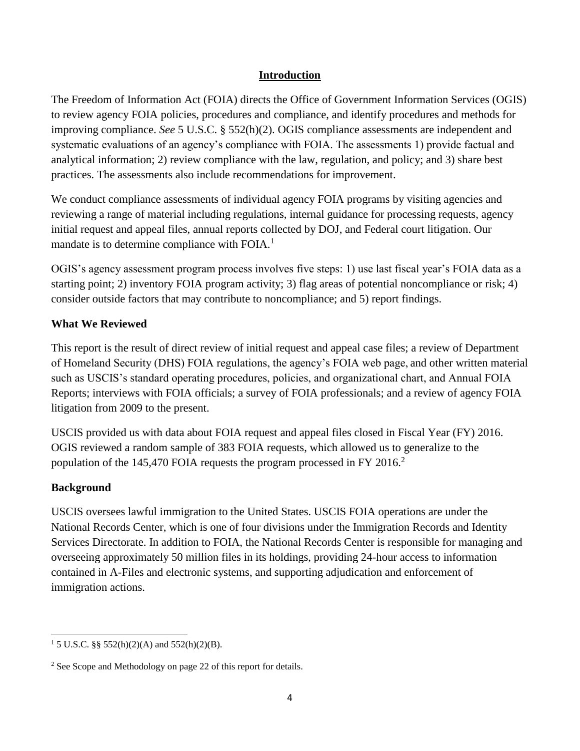## **Introduction**

The Freedom of Information Act (FOIA) directs the Office of Government Information Services (OGIS) to review agency FOIA policies, procedures and compliance, and identify procedures and methods for improving compliance. *See* 5 U.S.C. § 552(h)(2). OGIS compliance assessments are independent and systematic evaluations of an agency's compliance with FOIA. The assessments 1) provide factual and analytical information; 2) review compliance with the law, regulation, and policy; and 3) share best practices. The assessments also include recommendations for improvement.

We conduct compliance assessments of individual agency FOIA programs by visiting agencies and reviewing a range of material including regulations, internal guidance for processing requests, agency initial request and appeal files, annual reports collected by DOJ, and Federal court litigation. Our mandate is to determine compliance with FOIA.<sup>1</sup>

OGIS's agency assessment program process involves five steps: 1) use last fiscal year's FOIA data as a starting point; 2) inventory FOIA program activity; 3) flag areas of potential noncompliance or risk; 4) consider outside factors that may contribute to noncompliance; and 5) report findings.

## **What We Reviewed**

This report is the result of direct review of initial request and appeal case files; a review of Department of Homeland Security (DHS) FOIA regulations, the agency's FOIA web page, and other written material such as USCIS's standard operating procedures, policies, and organizational chart, and Annual FOIA Reports; interviews with FOIA officials; a survey of FOIA professionals; and a review of agency FOIA litigation from 2009 to the present.

USCIS provided us with data about FOIA request and appeal files closed in Fiscal Year (FY) 2016. OGIS reviewed a random sample of 383 FOIA requests, which allowed us to generalize to the population of the 145,470 FOIA requests the program processed in FY 2016.<sup>2</sup>

## **Background**

 $\overline{\phantom{a}}$ 

USCIS oversees lawful immigration to the United States. USCIS FOIA operations are under the National Records Center, which is one of four divisions under the Immigration Records and Identity Services Directorate. In addition to FOIA, the National Records Center is responsible for managing and overseeing approximately 50 million files in its holdings, providing 24-hour access to information contained in A-Files and electronic systems, and supporting adjudication and enforcement of immigration actions.

<sup>&</sup>lt;sup>1</sup> 5 U.S.C. §§ 552(h)(2)(A) and 552(h)(2)(B).

<sup>2</sup> See Scope and Methodology on page 22 of this report for details.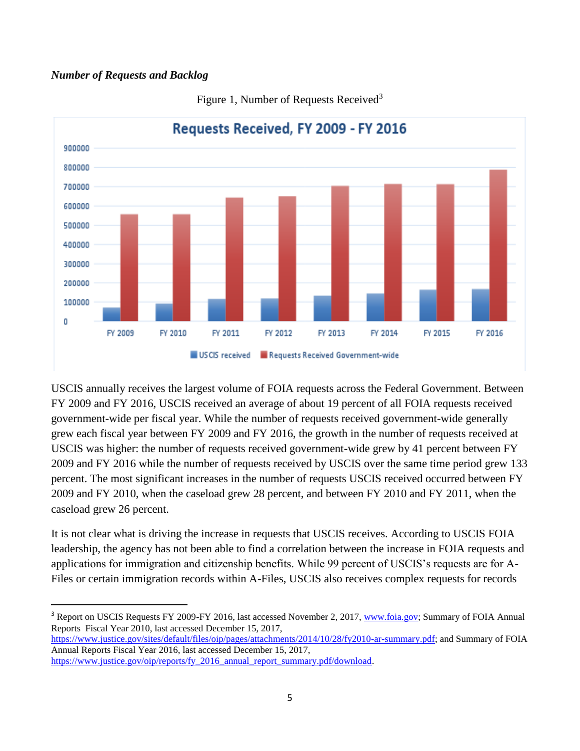#### *Number of Requests and Backlog*



Figure 1, Number of Requests Received<sup>3</sup>

USCIS annually receives the largest volume of FOIA requests across the Federal Government. Between FY 2009 and FY 2016, USCIS received an average of about 19 percent of all FOIA requests received government-wide per fiscal year. While the number of requests received government-wide generally grew each fiscal year between FY 2009 and FY 2016, the growth in the number of requests received at USCIS was higher: the number of requests received government-wide grew by 41 percent between FY 2009 and FY 2016 while the number of requests received by USCIS over the same time period grew 133 percent. The most significant increases in the number of requests USCIS received occurred between FY 2009 and FY 2010, when the caseload grew 28 percent, and between FY 2010 and FY 2011, when the caseload grew 26 percent.

It is not clear what is driving the increase in requests that USCIS receives. According to USCIS FOIA leadership, the agency has not been able to find a correlation between the increase in FOIA requests and applications for immigration and citizenship benefits. While 99 percent of USCIS's requests are for A-Files or certain immigration records within A-Files, USCIS also receives complex requests for records

[https://www.justice.gov/sites/default/files/oip/pages/attachments/2014/10/28/fy2010-ar-summary.pdf;](https://www.justice.gov/sites/default/files/oip/pages/attachments/2014/10/28/fy2010-ar-summary.pdf) and Summary of FOIA Annual Reports Fiscal Year 2016, last accessed December 15, 2017,

<sup>&</sup>lt;sup>3</sup> Report on USCIS Requests FY 2009-FY 2016, last accessed November 2, 2017, [www.foia.gov;](http://www.foia.gov/) Summary of FOIA Annual Reports Fiscal Year 2010, last accessed December 15, 2017,

[https://www.justice.gov/oip/reports/fy\\_2016\\_annual\\_report\\_summary.pdf/download.](https://www.justice.gov/oip/reports/fy_2016_annual_report_summary.pdf/download)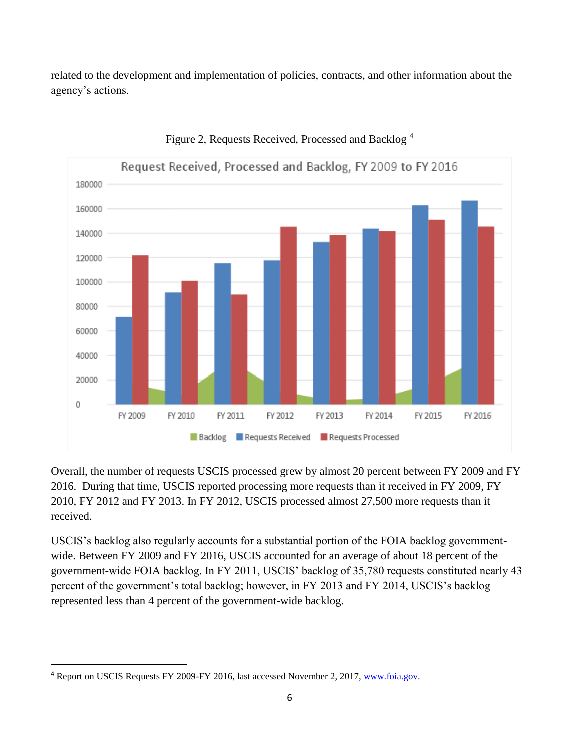related to the development and implementation of policies, contracts, and other information about the agency's actions.



#### Figure 2, Requests Received, Processed and Backlog <sup>4</sup>

Overall, the number of requests USCIS processed grew by almost 20 percent between FY 2009 and FY 2016. During that time, USCIS reported processing more requests than it received in FY 2009, FY 2010, FY 2012 and FY 2013. In FY 2012, USCIS processed almost 27,500 more requests than it received.

USCIS's backlog also regularly accounts for a substantial portion of the FOIA backlog governmentwide. Between FY 2009 and FY 2016, USCIS accounted for an average of about 18 percent of the government-wide FOIA backlog. In FY 2011, USCIS' backlog of 35,780 requests constituted nearly 43 percent of the government's total backlog; however, in FY 2013 and FY 2014, USCIS's backlog represented less than 4 percent of the government-wide backlog.

<sup>4</sup> Report on USCIS Requests FY 2009-FY 2016, last accessed November 2, 2017, [www.foia.gov.](http://www.foia.gov/)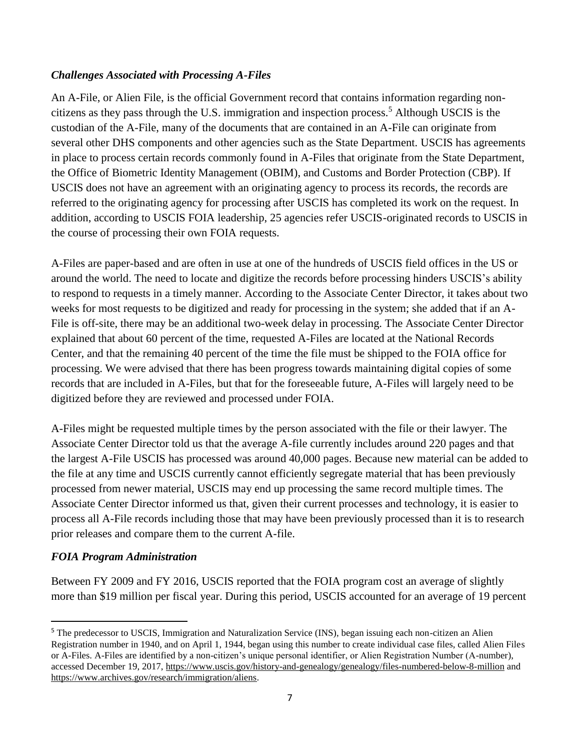## *Challenges Associated with Processing A-Files*

An A-File, or Alien File, is the official Government record that contains information regarding noncitizens as they pass through the U.S. immigration and inspection process.<sup>5</sup> Although USCIS is the custodian of the A-File, many of the documents that are contained in an A-File can originate from several other DHS components and other agencies such as the State Department. USCIS has agreements in place to process certain records commonly found in A-Files that originate from the State Department, the Office of Biometric Identity Management (OBIM), and Customs and Border Protection (CBP). If USCIS does not have an agreement with an originating agency to process its records, the records are referred to the originating agency for processing after USCIS has completed its work on the request. In addition, according to USCIS FOIA leadership, 25 agencies refer USCIS-originated records to USCIS in the course of processing their own FOIA requests.

A-Files are paper-based and are often in use at one of the hundreds of USCIS field offices in the US or around the world. The need to locate and digitize the records before processing hinders USCIS's ability to respond to requests in a timely manner. According to the Associate Center Director, it takes about two weeks for most requests to be digitized and ready for processing in the system; she added that if an A-File is off-site, there may be an additional two-week delay in processing. The Associate Center Director explained that about 60 percent of the time, requested A-Files are located at the National Records Center, and that the remaining 40 percent of the time the file must be shipped to the FOIA office for processing. We were advised that there has been progress towards maintaining digital copies of some records that are included in A-Files, but that for the foreseeable future, A-Files will largely need to be digitized before they are reviewed and processed under FOIA.

A-Files might be requested multiple times by the person associated with the file or their lawyer. The Associate Center Director told us that the average A-file currently includes around 220 pages and that the largest A-File USCIS has processed was around 40,000 pages. Because new material can be added to the file at any time and USCIS currently cannot efficiently segregate material that has been previously processed from newer material, USCIS may end up processing the same record multiple times. The Associate Center Director informed us that, given their current processes and technology, it is easier to process all A-File records including those that may have been previously processed than it is to research prior releases and compare them to the current A-file.

## *FOIA Program Administration*

 $\overline{\phantom{a}}$ 

Between FY 2009 and FY 2016, USCIS reported that the FOIA program cost an average of slightly more than \$19 million per fiscal year. During this period, USCIS accounted for an average of 19 percent

<sup>5</sup> The predecessor to USCIS, Immigration and Naturalization Service (INS), began issuing each non-citizen an Alien Registration number in 1940, and on April 1, 1944, began using this number to create individual case files, called Alien Files or A-Files. A-Files are identified by a non-citizen's unique personal identifier, or Alien Registration Number (A-number), accessed December 19, 2017,<https://www.uscis.gov/history-and-genealogy/genealogy/files-numbered-below-8-million> and [https://www.archives.gov/research/immigration/aliens.](https://www.archives.gov/research/immigration/aliens)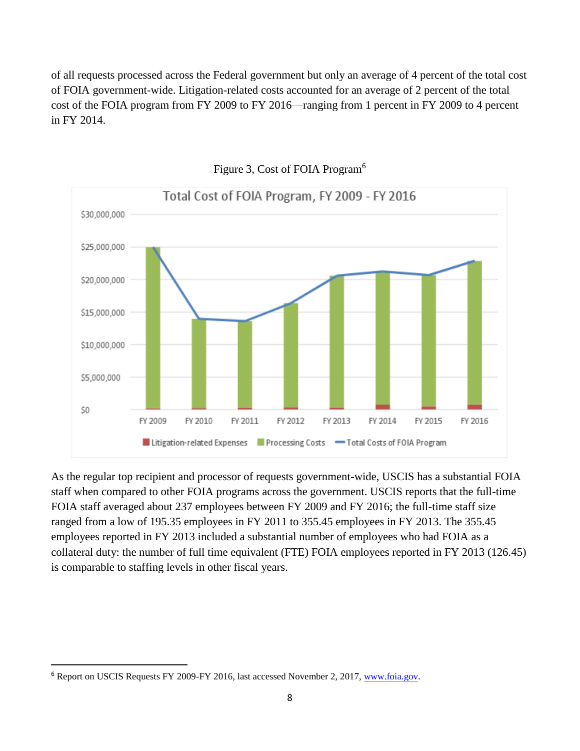of all requests processed across the Federal government but only an average of 4 percent of the total cost of FOIA government-wide. Litigation-related costs accounted for an average of 2 percent of the total cost of the FOIA program from FY 2009 to FY 2016—ranging from 1 percent in FY 2009 to 4 percent in FY 2014.



### Figure 3, Cost of FOIA Program<sup>6</sup>

As the regular top recipient and processor of requests government-wide, USCIS has a substantial FOIA staff when compared to other FOIA programs across the government. USCIS reports that the full-time FOIA staff averaged about 237 employees between FY 2009 and FY 2016; the full-time staff size ranged from a low of 195.35 employees in FY 2011 to 355.45 employees in FY 2013. The 355.45 employees reported in FY 2013 included a substantial number of employees who had FOIA as a collateral duty: the number of full time equivalent (FTE) FOIA employees reported in FY 2013 (126.45) is comparable to staffing levels in other fiscal years.

<sup>&</sup>lt;sup>6</sup> Report on USCIS Requests FY 2009-FY 2016, last accessed November 2, 2017, [www.foia.gov.](http://www.foia.gov/)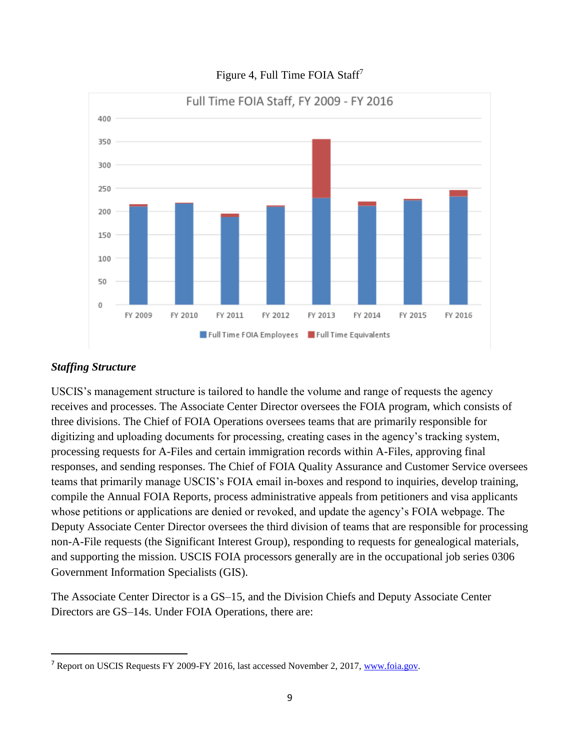

## Figure 4, Full Time FOIA Staff<sup>7</sup>

## *Staffing Structure*

 $\overline{\phantom{a}}$ 

USCIS's management structure is tailored to handle the volume and range of requests the agency receives and processes. The Associate Center Director oversees the FOIA program, which consists of three divisions. The Chief of FOIA Operations oversees teams that are primarily responsible for digitizing and uploading documents for processing, creating cases in the agency's tracking system, processing requests for A-Files and certain immigration records within A-Files, approving final responses, and sending responses. The Chief of FOIA Quality Assurance and Customer Service oversees teams that primarily manage USCIS's FOIA email in-boxes and respond to inquiries, develop training, compile the Annual FOIA Reports, process administrative appeals from petitioners and visa applicants whose petitions or applications are denied or revoked, and update the agency's FOIA webpage. The Deputy Associate Center Director oversees the third division of teams that are responsible for processing non-A-File requests (the Significant Interest Group), responding to requests for genealogical materials, and supporting the mission. USCIS FOIA processors generally are in the occupational job series 0306 Government Information Specialists (GIS).

The Associate Center Director is a GS–15, and the Division Chiefs and Deputy Associate Center Directors are GS–14s. Under FOIA Operations, there are:

<sup>&</sup>lt;sup>7</sup> Report on USCIS Requests FY 2009-FY 2016, last accessed November 2, 2017, [www.foia.gov.](http://www.foia.gov/)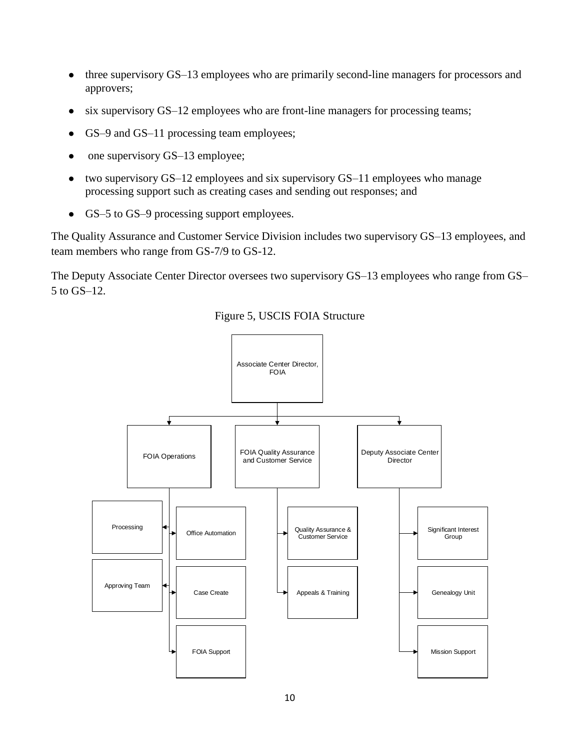- three supervisory GS–13 employees who are primarily second-line managers for processors and approvers;
- six supervisory GS–12 employees who are front-line managers for processing teams;
- GS–9 and GS–11 processing team employees;
- one supervisory GS-13 employee;
- two supervisory GS–12 employees and six supervisory GS–11 employees who manage processing support such as creating cases and sending out responses; and
- GS–5 to GS–9 processing support employees.

The Quality Assurance and Customer Service Division includes two supervisory GS–13 employees, and team members who range from GS-7/9 to GS-12.

The Deputy Associate Center Director oversees two supervisory GS–13 employees who range from GS– 5 to GS–12.



Figure 5, USCIS FOIA Structure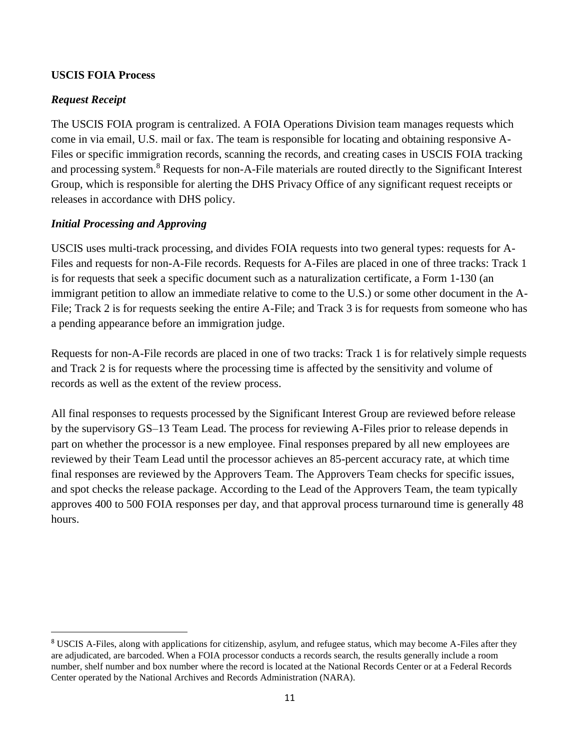## **USCIS FOIA Process**

#### *Request Receipt*

 $\overline{\phantom{a}}$ 

The USCIS FOIA program is centralized. A FOIA Operations Division team manages requests which come in via email, U.S. mail or fax. The team is responsible for locating and obtaining responsive A-Files or specific immigration records, scanning the records, and creating cases in USCIS FOIA tracking and processing system.<sup>8</sup> Requests for non-A-File materials are routed directly to the Significant Interest Group, which is responsible for alerting the DHS Privacy Office of any significant request receipts or releases in accordance with DHS policy.

#### *Initial Processing and Approving*

USCIS uses multi-track processing, and divides FOIA requests into two general types: requests for A-Files and requests for non-A-File records. Requests for A-Files are placed in one of three tracks: Track 1 is for requests that seek a specific document such as a naturalization certificate, a Form 1-130 (an immigrant petition to allow an immediate relative to come to the U.S.) or some other document in the A-File; Track 2 is for requests seeking the entire A-File; and Track 3 is for requests from someone who has a pending appearance before an immigration judge.

Requests for non-A-File records are placed in one of two tracks: Track 1 is for relatively simple requests and Track 2 is for requests where the processing time is affected by the sensitivity and volume of records as well as the extent of the review process.

All final responses to requests processed by the Significant Interest Group are reviewed before release by the supervisory GS–13 Team Lead. The process for reviewing A-Files prior to release depends in part on whether the processor is a new employee. Final responses prepared by all new employees are reviewed by their Team Lead until the processor achieves an 85-percent accuracy rate, at which time final responses are reviewed by the Approvers Team. The Approvers Team checks for specific issues, and spot checks the release package. According to the Lead of the Approvers Team, the team typically approves 400 to 500 FOIA responses per day, and that approval process turnaround time is generally 48 hours.

<sup>8</sup> USCIS A-Files, along with applications for citizenship, asylum, and refugee status, which may become A-Files after they are adjudicated, are barcoded. When a FOIA processor conducts a records search, the results generally include a room number, shelf number and box number where the record is located at the National Records Center or at a Federal Records Center operated by the National Archives and Records Administration (NARA).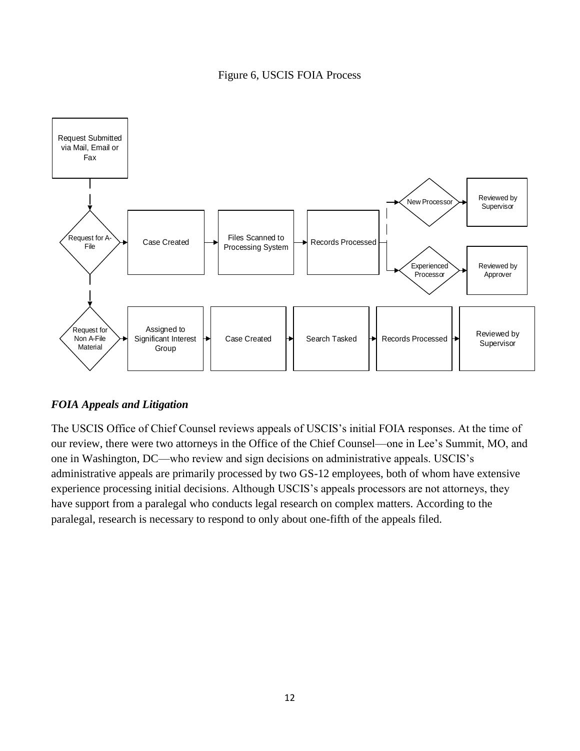## Figure 6, USCIS FOIA Process



## *FOIA Appeals and Litigation*

The USCIS Office of Chief Counsel reviews appeals of USCIS's initial FOIA responses. At the time of our review, there were two attorneys in the Office of the Chief Counsel—one in Lee's Summit, MO, and one in Washington, DC—who review and sign decisions on administrative appeals. USCIS's administrative appeals are primarily processed by two GS-12 employees, both of whom have extensive experience processing initial decisions. Although USCIS's appeals processors are not attorneys, they have support from a paralegal who conducts legal research on complex matters. According to the paralegal, research is necessary to respond to only about one-fifth of the appeals filed.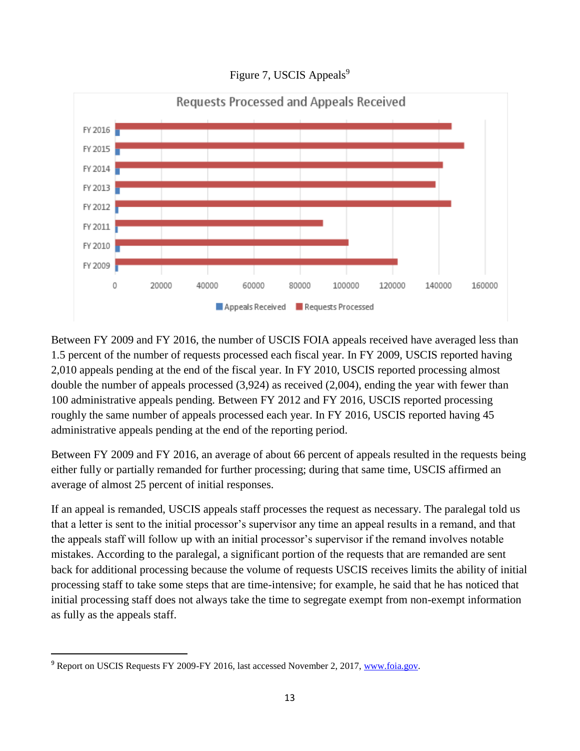

Figure 7, USCIS Appeals<sup>9</sup>

Between FY 2009 and FY 2016, the number of USCIS FOIA appeals received have averaged less than 1.5 percent of the number of requests processed each fiscal year. In FY 2009, USCIS reported having 2,010 appeals pending at the end of the fiscal year. In FY 2010, USCIS reported processing almost double the number of appeals processed (3,924) as received (2,004), ending the year with fewer than 100 administrative appeals pending. Between FY 2012 and FY 2016, USCIS reported processing roughly the same number of appeals processed each year. In FY 2016, USCIS reported having 45 administrative appeals pending at the end of the reporting period.

Between FY 2009 and FY 2016, an average of about 66 percent of appeals resulted in the requests being either fully or partially remanded for further processing; during that same time, USCIS affirmed an average of almost 25 percent of initial responses.

If an appeal is remanded, USCIS appeals staff processes the request as necessary. The paralegal told us that a letter is sent to the initial processor's supervisor any time an appeal results in a remand, and that the appeals staff will follow up with an initial processor's supervisor if the remand involves notable mistakes. According to the paralegal, a significant portion of the requests that are remanded are sent back for additional processing because the volume of requests USCIS receives limits the ability of initial processing staff to take some steps that are time-intensive; for example, he said that he has noticed that initial processing staff does not always take the time to segregate exempt from non-exempt information as fully as the appeals staff.

<sup>&</sup>lt;sup>9</sup> Report on USCIS Requests FY 2009-FY 2016, last accessed November 2, 2017, [www.foia.gov.](http://www.foia.gov/)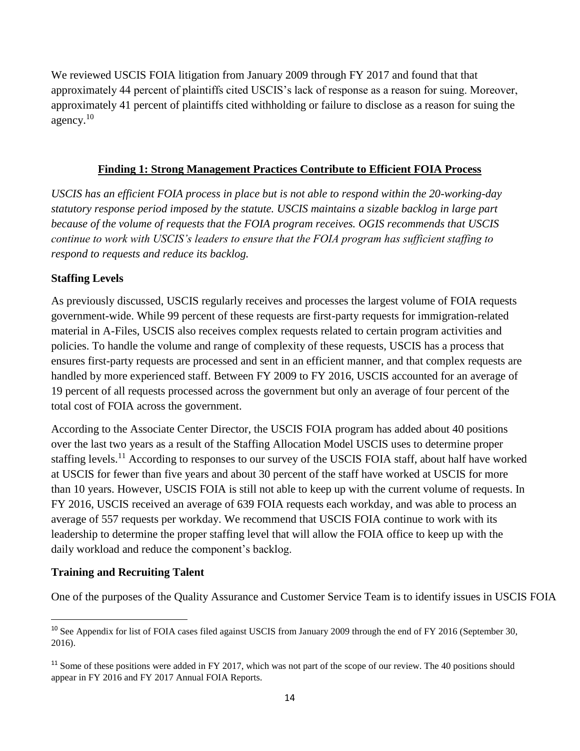We reviewed USCIS FOIA litigation from January 2009 through FY 2017 and found that that approximately 44 percent of plaintiffs cited USCIS's lack of response as a reason for suing. Moreover, approximately 41 percent of plaintiffs cited withholding or failure to disclose as a reason for suing the agency. $10$ 

#### **Finding 1: Strong Management Practices Contribute to Efficient FOIA Process**

*USCIS has an efficient FOIA process in place but is not able to respond within the 20-working-day statutory response period imposed by the statute. USCIS maintains a sizable backlog in large part because of the volume of requests that the FOIA program receives. OGIS recommends that USCIS continue to work with USCIS's leaders to ensure that the FOIA program has sufficient staffing to respond to requests and reduce its backlog.* 

## **Staffing Levels**

As previously discussed, USCIS regularly receives and processes the largest volume of FOIA requests government-wide. While 99 percent of these requests are first-party requests for immigration-related material in A-Files, USCIS also receives complex requests related to certain program activities and policies. To handle the volume and range of complexity of these requests, USCIS has a process that ensures first-party requests are processed and sent in an efficient manner, and that complex requests are handled by more experienced staff. Between FY 2009 to FY 2016, USCIS accounted for an average of 19 percent of all requests processed across the government but only an average of four percent of the total cost of FOIA across the government.

According to the Associate Center Director, the USCIS FOIA program has added about 40 positions over the last two years as a result of the Staffing Allocation Model USCIS uses to determine proper staffing levels.<sup>11</sup> According to responses to our survey of the USCIS FOIA staff, about half have worked at USCIS for fewer than five years and about 30 percent of the staff have worked at USCIS for more than 10 years. However, USCIS FOIA is still not able to keep up with the current volume of requests. In FY 2016, USCIS received an average of 639 FOIA requests each workday, and was able to process an average of 557 requests per workday. We recommend that USCIS FOIA continue to work with its leadership to determine the proper staffing level that will allow the FOIA office to keep up with the daily workload and reduce the component's backlog.

## **Training and Recruiting Talent**

 $\overline{\phantom{a}}$ 

One of the purposes of the Quality Assurance and Customer Service Team is to identify issues in USCIS FOIA

<sup>&</sup>lt;sup>10</sup> See Appendix for list of FOIA cases filed against USCIS from January 2009 through the end of FY 2016 (September 30, 2016).

 $11$  Some of these positions were added in FY 2017, which was not part of the scope of our review. The 40 positions should appear in FY 2016 and FY 2017 Annual FOIA Reports.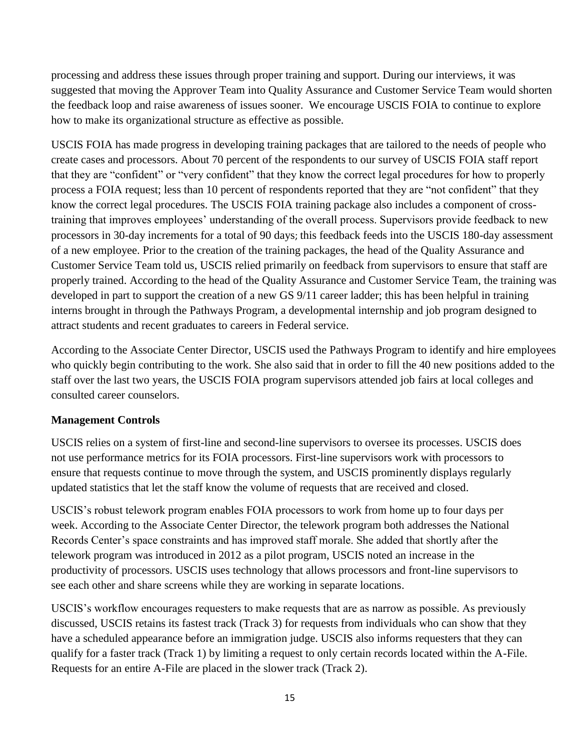processing and address these issues through proper training and support. During our interviews, it was suggested that moving the Approver Team into Quality Assurance and Customer Service Team would shorten the feedback loop and raise awareness of issues sooner. We encourage USCIS FOIA to continue to explore how to make its organizational structure as effective as possible.

USCIS FOIA has made progress in developing training packages that are tailored to the needs of people who create cases and processors. About 70 percent of the respondents to our survey of USCIS FOIA staff report that they are "confident" or "very confident" that they know the correct legal procedures for how to properly process a FOIA request; less than 10 percent of respondents reported that they are "not confident" that they know the correct legal procedures. The USCIS FOIA training package also includes a component of crosstraining that improves employees' understanding of the overall process. Supervisors provide feedback to new processors in 30-day increments for a total of 90 days; this feedback feeds into the USCIS 180-day assessment of a new employee. Prior to the creation of the training packages, the head of the Quality Assurance and Customer Service Team told us, USCIS relied primarily on feedback from supervisors to ensure that staff are properly trained. According to the head of the Quality Assurance and Customer Service Team, the training was developed in part to support the creation of a new GS 9/11 career ladder; this has been helpful in training interns brought in through the Pathways Program, a developmental internship and job program designed to attract students and recent graduates to careers in Federal service.

According to the Associate Center Director, USCIS used the Pathways Program to identify and hire employees who quickly begin contributing to the work. She also said that in order to fill the 40 new positions added to the staff over the last two years, the USCIS FOIA program supervisors attended job fairs at local colleges and consulted career counselors.

## **Management Controls**

USCIS relies on a system of first-line and second-line supervisors to oversee its processes. USCIS does not use performance metrics for its FOIA processors. First-line supervisors work with processors to ensure that requests continue to move through the system, and USCIS prominently displays regularly updated statistics that let the staff know the volume of requests that are received and closed.

USCIS's robust telework program enables FOIA processors to work from home up to four days per week. According to the Associate Center Director, the telework program both addresses the National Records Center's space constraints and has improved staff morale. She added that shortly after the telework program was introduced in 2012 as a pilot program, USCIS noted an increase in the productivity of processors. USCIS uses technology that allows processors and front-line supervisors to see each other and share screens while they are working in separate locations.

USCIS's workflow encourages requesters to make requests that are as narrow as possible. As previously discussed, USCIS retains its fastest track (Track 3) for requests from individuals who can show that they have a scheduled appearance before an immigration judge. USCIS also informs requesters that they can qualify for a faster track (Track 1) by limiting a request to only certain records located within the A-File. Requests for an entire A-File are placed in the slower track (Track 2).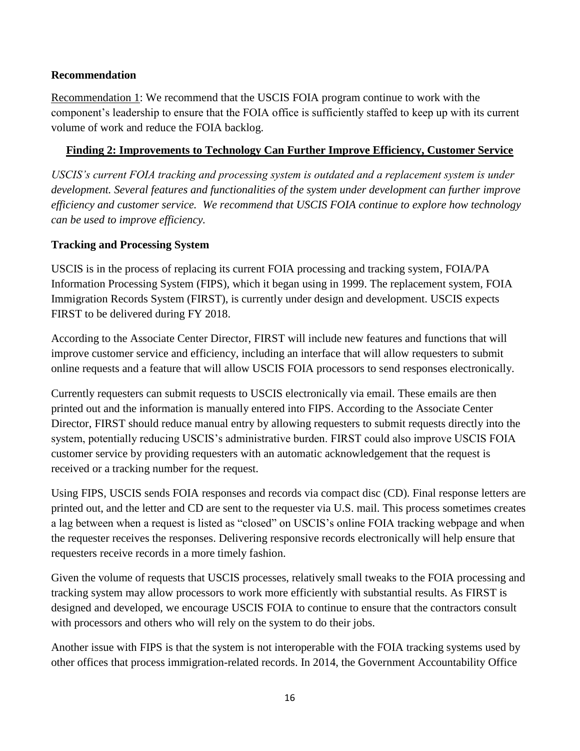## **Recommendation**

Recommendation 1: We recommend that the USCIS FOIA program continue to work with the component's leadership to ensure that the FOIA office is sufficiently staffed to keep up with its current volume of work and reduce the FOIA backlog.

## **Finding 2: Improvements to Technology Can Further Improve Efficiency, Customer Service**

*USCIS's current FOIA tracking and processing system is outdated and a replacement system is under development. Several features and functionalities of the system under development can further improve efficiency and customer service. We recommend that USCIS FOIA continue to explore how technology can be used to improve efficiency.*

## **Tracking and Processing System**

USCIS is in the process of replacing its current FOIA processing and tracking system, FOIA/PA Information Processing System (FIPS), which it began using in 1999. The replacement system, FOIA Immigration Records System (FIRST), is currently under design and development. USCIS expects FIRST to be delivered during FY 2018.

According to the Associate Center Director, FIRST will include new features and functions that will improve customer service and efficiency, including an interface that will allow requesters to submit online requests and a feature that will allow USCIS FOIA processors to send responses electronically.

Currently requesters can submit requests to USCIS electronically via email. These emails are then printed out and the information is manually entered into FIPS. According to the Associate Center Director, FIRST should reduce manual entry by allowing requesters to submit requests directly into the system, potentially reducing USCIS's administrative burden. FIRST could also improve USCIS FOIA customer service by providing requesters with an automatic acknowledgement that the request is received or a tracking number for the request.

Using FIPS, USCIS sends FOIA responses and records via compact disc (CD). Final response letters are printed out, and the letter and CD are sent to the requester via U.S. mail. This process sometimes creates a lag between when a request is listed as "closed" on USCIS's online FOIA tracking webpage and when the requester receives the responses. Delivering responsive records electronically will help ensure that requesters receive records in a more timely fashion.

Given the volume of requests that USCIS processes, relatively small tweaks to the FOIA processing and tracking system may allow processors to work more efficiently with substantial results. As FIRST is designed and developed, we encourage USCIS FOIA to continue to ensure that the contractors consult with processors and others who will rely on the system to do their jobs.

Another issue with FIPS is that the system is not interoperable with the FOIA tracking systems used by other offices that process immigration-related records. In 2014, the Government Accountability Office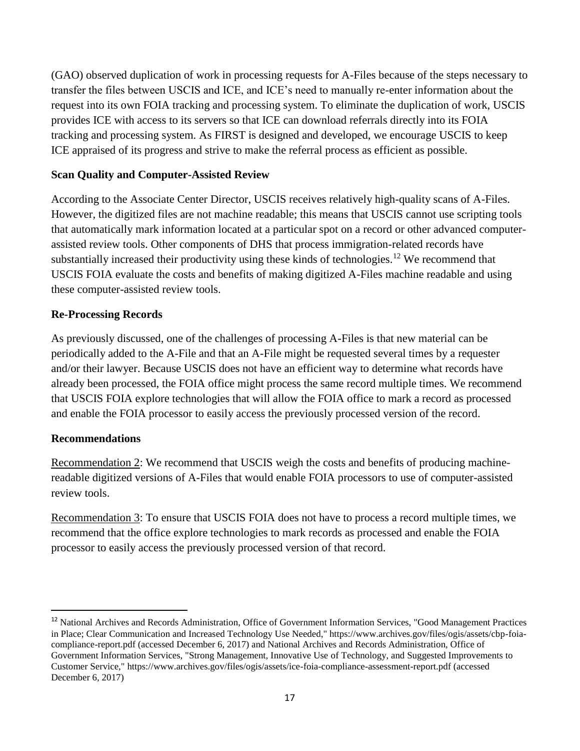(GAO) observed duplication of work in processing requests for A-Files because of the steps necessary to transfer the files between USCIS and ICE, and ICE's need to manually re-enter information about the request into its own FOIA tracking and processing system. To eliminate the duplication of work, USCIS provides ICE with access to its servers so that ICE can download referrals directly into its FOIA tracking and processing system. As FIRST is designed and developed, we encourage USCIS to keep ICE appraised of its progress and strive to make the referral process as efficient as possible.

## **Scan Quality and Computer-Assisted Review**

According to the Associate Center Director, USCIS receives relatively high-quality scans of A-Files. However, the digitized files are not machine readable; this means that USCIS cannot use scripting tools that automatically mark information located at a particular spot on a record or other advanced computerassisted review tools. Other components of DHS that process immigration-related records have substantially increased their productivity using these kinds of technologies.<sup>12</sup> We recommend that USCIS FOIA evaluate the costs and benefits of making digitized A-Files machine readable and using these computer-assisted review tools.

## **Re-Processing Records**

As previously discussed, one of the challenges of processing A-Files is that new material can be periodically added to the A-File and that an A-File might be requested several times by a requester and/or their lawyer. Because USCIS does not have an efficient way to determine what records have already been processed, the FOIA office might process the same record multiple times. We recommend that USCIS FOIA explore technologies that will allow the FOIA office to mark a record as processed and enable the FOIA processor to easily access the previously processed version of the record.

## **Recommendations**

 $\overline{a}$ 

Recommendation 2: We recommend that USCIS weigh the costs and benefits of producing machinereadable digitized versions of A-Files that would enable FOIA processors to use of computer-assisted review tools.

Recommendation 3: To ensure that USCIS FOIA does not have to process a record multiple times, we recommend that the office explore technologies to mark records as processed and enable the FOIA processor to easily access the previously processed version of that record.

<sup>&</sup>lt;sup>12</sup> National Archives and Records Administration, Office of Government Information Services, "Good Management Practices in Place; Clear Communication and Increased Technology Use Needed," https://www.archives.gov/files/ogis/assets/cbp-foiacompliance-report.pdf (accessed December 6, 2017) and National Archives and Records Administration, Office of Government Information Services, "Strong Management, Innovative Use of Technology, and Suggested Improvements to Customer Service," https://www.archives.gov/files/ogis/assets/ice-foia-compliance-assessment-report.pdf (accessed December 6, 2017)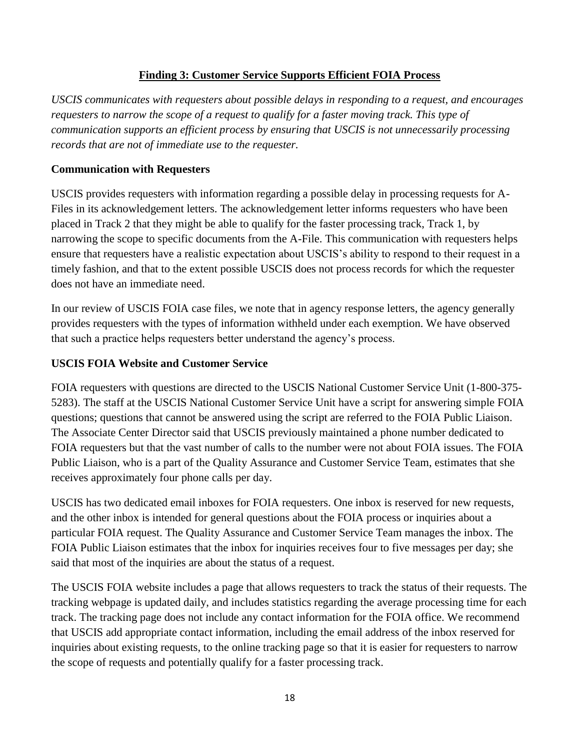## **Finding 3: Customer Service Supports Efficient FOIA Process**

*USCIS communicates with requesters about possible delays in responding to a request, and encourages requesters to narrow the scope of a request to qualify for a faster moving track. This type of communication supports an efficient process by ensuring that USCIS is not unnecessarily processing records that are not of immediate use to the requester.*

## **Communication with Requesters**

USCIS provides requesters with information regarding a possible delay in processing requests for A-Files in its acknowledgement letters. The acknowledgement letter informs requesters who have been placed in Track 2 that they might be able to qualify for the faster processing track, Track 1, by narrowing the scope to specific documents from the A-File. This communication with requesters helps ensure that requesters have a realistic expectation about USCIS's ability to respond to their request in a timely fashion, and that to the extent possible USCIS does not process records for which the requester does not have an immediate need.

In our review of USCIS FOIA case files, we note that in agency response letters, the agency generally provides requesters with the types of information withheld under each exemption. We have observed that such a practice helps requesters better understand the agency's process.

## **USCIS FOIA Website and Customer Service**

FOIA requesters with questions are directed to the USCIS National Customer Service Unit (1-800-375- 5283). The staff at the USCIS National Customer Service Unit have a script for answering simple FOIA questions; questions that cannot be answered using the script are referred to the FOIA Public Liaison. The Associate Center Director said that USCIS previously maintained a phone number dedicated to FOIA requesters but that the vast number of calls to the number were not about FOIA issues. The FOIA Public Liaison, who is a part of the Quality Assurance and Customer Service Team, estimates that she receives approximately four phone calls per day.

USCIS has two dedicated email inboxes for FOIA requesters. One inbox is reserved for new requests, and the other inbox is intended for general questions about the FOIA process or inquiries about a particular FOIA request. The Quality Assurance and Customer Service Team manages the inbox. The FOIA Public Liaison estimates that the inbox for inquiries receives four to five messages per day; she said that most of the inquiries are about the status of a request.

The USCIS FOIA website includes a page that allows requesters to track the status of their requests. The tracking webpage is updated daily, and includes statistics regarding the average processing time for each track. The tracking page does not include any contact information for the FOIA office. We recommend that USCIS add appropriate contact information, including the email address of the inbox reserved for inquiries about existing requests, to the online tracking page so that it is easier for requesters to narrow the scope of requests and potentially qualify for a faster processing track.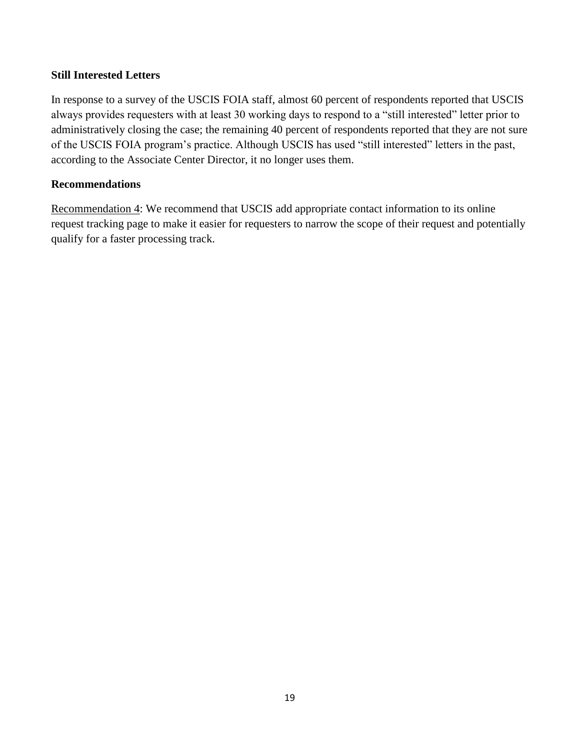## **Still Interested Letters**

In response to a survey of the USCIS FOIA staff, almost 60 percent of respondents reported that USCIS always provides requesters with at least 30 working days to respond to a "still interested" letter prior to administratively closing the case; the remaining 40 percent of respondents reported that they are not sure of the USCIS FOIA program's practice. Although USCIS has used "still interested" letters in the past, according to the Associate Center Director, it no longer uses them.

## **Recommendations**

Recommendation 4: We recommend that USCIS add appropriate contact information to its online request tracking page to make it easier for requesters to narrow the scope of their request and potentially qualify for a faster processing track.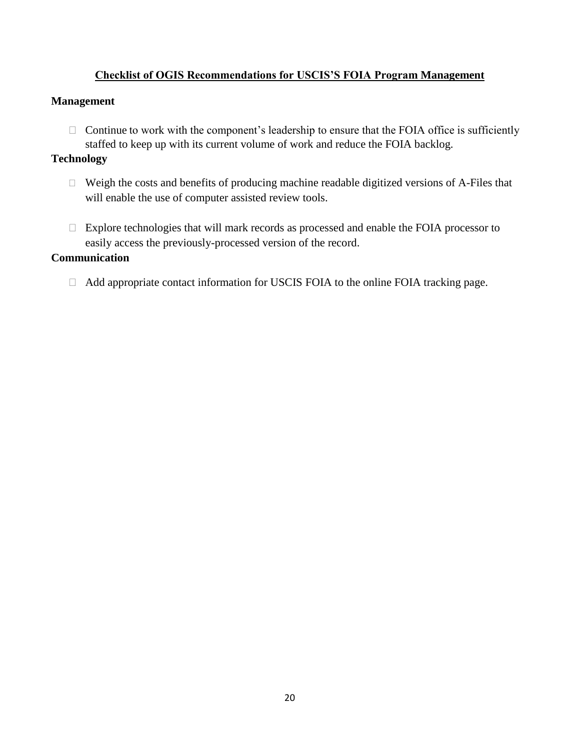## **Checklist of OGIS Recommendations for USCIS'S FOIA Program Management**

## **Management**

 $\Box$  Continue to work with the component's leadership to ensure that the FOIA office is sufficiently staffed to keep up with its current volume of work and reduce the FOIA backlog.

## **Technology**

- ◻ Weigh the costs and benefits of producing machine readable digitized versions of A-Files that will enable the use of computer assisted review tools.
- □ Explore technologies that will mark records as processed and enable the FOIA processor to easily access the previously-processed version of the record.

#### **Communication**

 $\Box$  Add appropriate contact information for USCIS FOIA to the online FOIA tracking page.